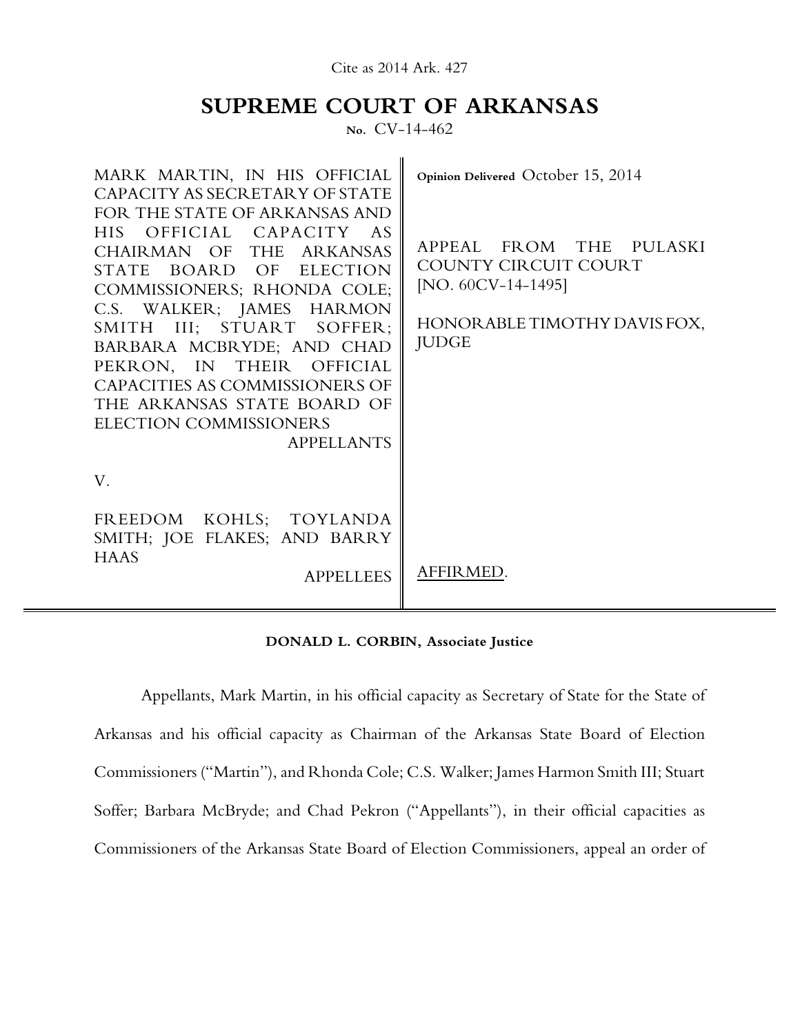# **SUPREME COURT OF ARKANSAS**

**No.** CV-14-462

| MARK MARTIN, IN HIS OFFICIAL<br>CAPACITY AS SECRETARY OF STATE<br>FOR THE STATE OF ARKANSAS AND<br>HIS OFFICIAL CAPACITY AS<br>CHAIRMAN OF THE ARKANSAS<br>STATE BOARD OF ELECTION<br>COMMISSIONERS; RHONDA COLE;<br>C.S. WALKER; JAMES HARMON<br>SMITH III; STUART SOFFER;<br>BARBARA MCBRYDE; AND CHAD<br>PEKRON, IN THEIR OFFICIAL<br>CAPACITIES AS COMMISSIONERS OF<br>THE ARKANSAS STATE BOARD OF<br><b>ELECTION COMMISSIONERS</b><br><b>APPELLANTS</b> | Opinion Delivered October 15, 2014<br>APPEAL FROM THE PULASKI<br>COUNTY CIRCUIT COURT<br>[NO. $60CV-14-1495$ ]<br>HONORABLE TIMOTHY DAVIS FOX,<br><b>JUDGE</b> |
|--------------------------------------------------------------------------------------------------------------------------------------------------------------------------------------------------------------------------------------------------------------------------------------------------------------------------------------------------------------------------------------------------------------------------------------------------------------|----------------------------------------------------------------------------------------------------------------------------------------------------------------|
| V.                                                                                                                                                                                                                                                                                                                                                                                                                                                           |                                                                                                                                                                |
| FREEDOM KOHLS; TOYLANDA<br>SMITH; JOE FLAKES; AND BARRY<br><b>HAAS</b><br><b>APPELLEES</b>                                                                                                                                                                                                                                                                                                                                                                   | AFFIRMED.                                                                                                                                                      |

# **DONALD L. CORBIN, Associate Justice**

Appellants, Mark Martin, in his official capacity as Secretary of State for the State of Arkansas and his official capacity as Chairman of the Arkansas State Board of Election Commissioners ("Martin"), and Rhonda Cole; C.S. Walker; James Harmon Smith III; Stuart Soffer; Barbara McBryde; and Chad Pekron ("Appellants"), in their official capacities as Commissioners of the Arkansas State Board of Election Commissioners, appeal an order of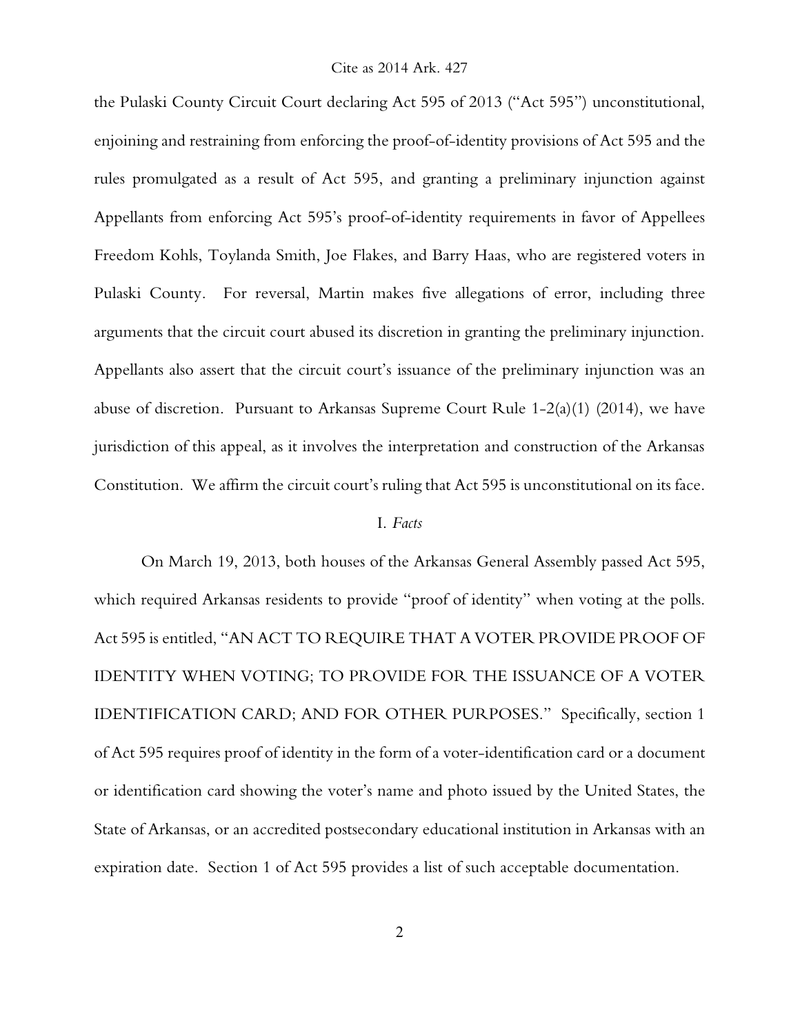the Pulaski County Circuit Court declaring Act 595 of 2013 ("Act 595") unconstitutional, enjoining and restraining from enforcing the proof-of-identity provisions of Act 595 and the rules promulgated as a result of Act 595, and granting a preliminary injunction against Appellants from enforcing Act 595's proof-of-identity requirements in favor of Appellees Freedom Kohls, Toylanda Smith, Joe Flakes, and Barry Haas, who are registered voters in Pulaski County. For reversal, Martin makes five allegations of error, including three arguments that the circuit court abused its discretion in granting the preliminary injunction. Appellants also assert that the circuit court's issuance of the preliminary injunction was an abuse of discretion. Pursuant to Arkansas Supreme Court Rule 1-2(a)(1) (2014), we have jurisdiction of this appeal, as it involves the interpretation and construction of the Arkansas Constitution. We affirm the circuit court's ruling that Act 595 is unconstitutional on its face.

## I. *Facts*

On March 19, 2013, both houses of the Arkansas General Assembly passed Act 595, which required Arkansas residents to provide "proof of identity" when voting at the polls. Act 595 is entitled, "AN ACT TO REQUIRE THAT A VOTER PROVIDE PROOF OF IDENTITY WHEN VOTING; TO PROVIDE FOR THE ISSUANCE OF A VOTER IDENTIFICATION CARD; AND FOR OTHER PURPOSES." Specifically, section 1 of Act 595 requires proof of identity in the form of a voter-identification card or a document or identification card showing the voter's name and photo issued by the United States, the State of Arkansas, or an accredited postsecondary educational institution in Arkansas with an expiration date. Section 1 of Act 595 provides a list of such acceptable documentation.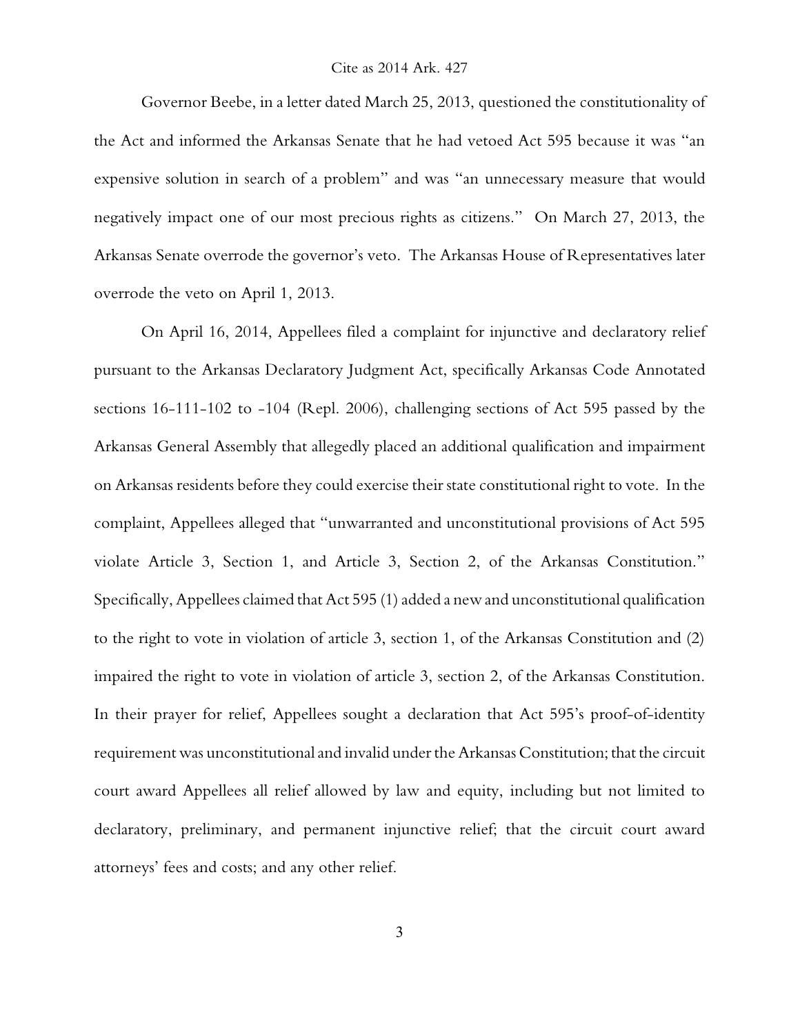Governor Beebe, in a letter dated March 25, 2013, questioned the constitutionality of the Act and informed the Arkansas Senate that he had vetoed Act 595 because it was "an expensive solution in search of a problem" and was "an unnecessary measure that would negatively impact one of our most precious rights as citizens." On March 27, 2013, the Arkansas Senate overrode the governor's veto. The Arkansas House of Representatives later overrode the veto on April 1, 2013.

On April 16, 2014, Appellees filed a complaint for injunctive and declaratory relief pursuant to the Arkansas Declaratory Judgment Act, specifically Arkansas Code Annotated sections 16-111-102 to -104 (Repl. 2006), challenging sections of Act 595 passed by the Arkansas General Assembly that allegedly placed an additional qualification and impairment on Arkansas residents before they could exercise their state constitutional right to vote. In the complaint, Appellees alleged that "unwarranted and unconstitutional provisions of Act 595 violate Article 3, Section 1, and Article 3, Section 2, of the Arkansas Constitution." Specifically, Appellees claimed that Act 595 (1) added a new and unconstitutional qualification to the right to vote in violation of article 3, section 1, of the Arkansas Constitution and (2) impaired the right to vote in violation of article 3, section 2, of the Arkansas Constitution. In their prayer for relief, Appellees sought a declaration that Act 595's proof-of-identity requirement was unconstitutional and invalid under the Arkansas Constitution; that the circuit court award Appellees all relief allowed by law and equity, including but not limited to declaratory, preliminary, and permanent injunctive relief; that the circuit court award attorneys' fees and costs; and any other relief.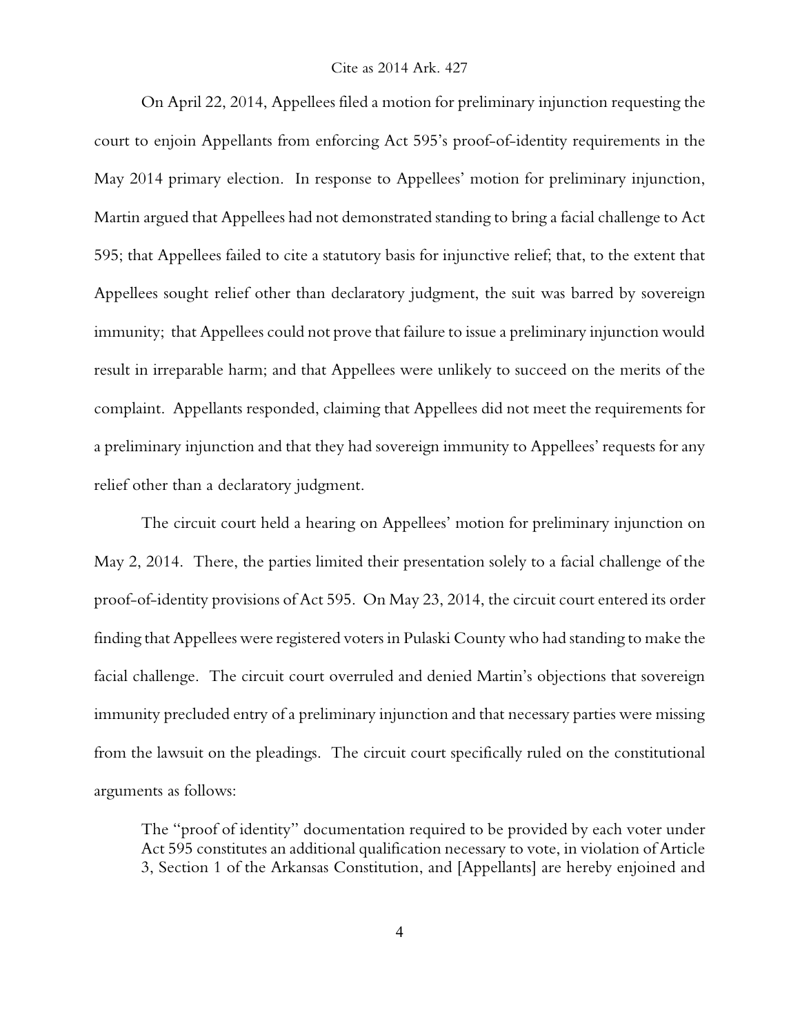On April 22, 2014, Appellees filed a motion for preliminary injunction requesting the court to enjoin Appellants from enforcing Act 595's proof-of-identity requirements in the May 2014 primary election. In response to Appellees' motion for preliminary injunction, Martin argued that Appellees had not demonstrated standing to bring a facial challenge to Act 595; that Appellees failed to cite a statutory basis for injunctive relief; that, to the extent that Appellees sought relief other than declaratory judgment, the suit was barred by sovereign immunity; that Appellees could not prove that failure to issue a preliminary injunction would result in irreparable harm; and that Appellees were unlikely to succeed on the merits of the complaint. Appellants responded, claiming that Appellees did not meet the requirements for a preliminary injunction and that they had sovereign immunity to Appellees' requests for any relief other than a declaratory judgment.

The circuit court held a hearing on Appellees' motion for preliminary injunction on May 2, 2014. There, the parties limited their presentation solely to a facial challenge of the proof-of-identity provisions of Act 595. On May 23, 2014, the circuit court entered its order finding that Appellees were registered voters in Pulaski County who had standing to make the facial challenge. The circuit court overruled and denied Martin's objections that sovereign immunity precluded entry of a preliminary injunction and that necessary parties were missing from the lawsuit on the pleadings. The circuit court specifically ruled on the constitutional arguments as follows:

The "proof of identity" documentation required to be provided by each voter under Act 595 constitutes an additional qualification necessary to vote, in violation of Article 3, Section 1 of the Arkansas Constitution, and [Appellants] are hereby enjoined and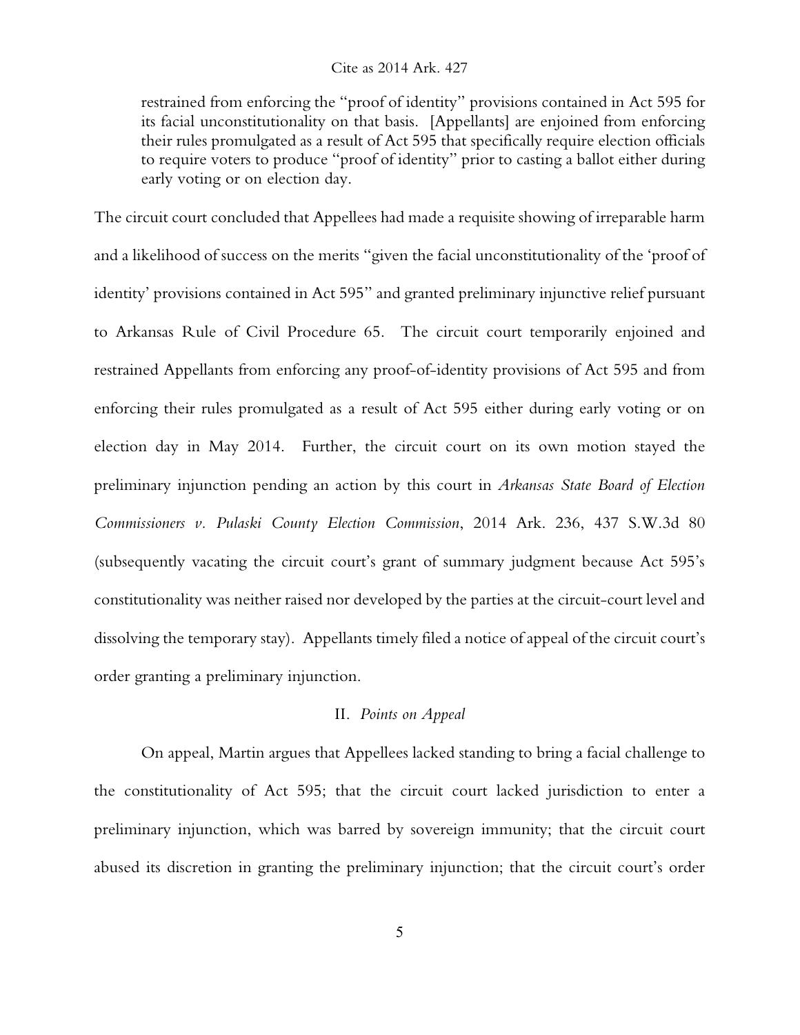restrained from enforcing the "proof of identity" provisions contained in Act 595 for its facial unconstitutionality on that basis. [Appellants] are enjoined from enforcing their rules promulgated as a result of Act 595 that specifically require election officials to require voters to produce "proof of identity" prior to casting a ballot either during early voting or on election day.

The circuit court concluded that Appellees had made a requisite showing of irreparable harm and a likelihood of success on the merits "given the facial unconstitutionality of the 'proof of identity' provisions contained in Act 595" and granted preliminary injunctive relief pursuant to Arkansas Rule of Civil Procedure 65. The circuit court temporarily enjoined and restrained Appellants from enforcing any proof-of-identity provisions of Act 595 and from enforcing their rules promulgated as a result of Act 595 either during early voting or on election day in May 2014. Further, the circuit court on its own motion stayed the preliminary injunction pending an action by this court in *Arkansas State Board of Election Commissioners v. Pulaski County Election Commission*, 2014 Ark. 236, 437 S.W.3d 80 (subsequently vacating the circuit court's grant of summary judgment because Act 595's constitutionality was neither raised nor developed by the parties at the circuit-court level and dissolving the temporary stay). Appellants timely filed a notice of appeal of the circuit court's order granting a preliminary injunction.

# II. *Points on Appeal*

On appeal, Martin argues that Appellees lacked standing to bring a facial challenge to the constitutionality of Act 595; that the circuit court lacked jurisdiction to enter a preliminary injunction, which was barred by sovereign immunity; that the circuit court abused its discretion in granting the preliminary injunction; that the circuit court's order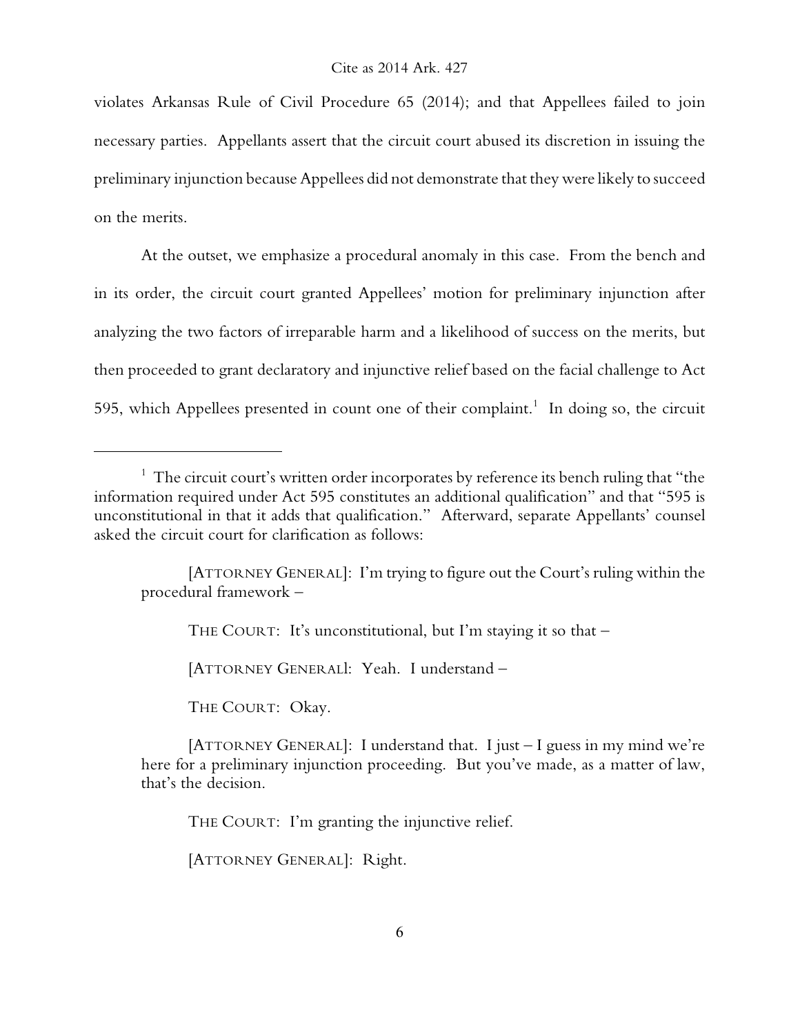violates Arkansas Rule of Civil Procedure 65 (2014); and that Appellees failed to join necessary parties. Appellants assert that the circuit court abused its discretion in issuing the preliminary injunction because Appellees did not demonstrate that they were likely to succeed on the merits.

At the outset, we emphasize a procedural anomaly in this case. From the bench and in its order, the circuit court granted Appellees' motion for preliminary injunction after analyzing the two factors of irreparable harm and a likelihood of success on the merits, but then proceeded to grant declaratory and injunctive relief based on the facial challenge to Act 595, which Appellees presented in count one of their complaint.<sup>1</sup> In doing so, the circuit

THE COURT: It's unconstitutional, but I'm staying it so that  $-$ 

[ATTORNEY GENERALl: Yeah. I understand –

THE COURT: Okay.

[ATTORNEY GENERAL]: I understand that. I just – I guess in my mind we're here for a preliminary injunction proceeding. But you've made, as a matter of law, that's the decision.

THE COURT: I'm granting the injunctive relief.

[ATTORNEY GENERAL]: Right.

 $1$  The circuit court's written order incorporates by reference its bench ruling that "the information required under Act 595 constitutes an additional qualification" and that "595 is unconstitutional in that it adds that qualification." Afterward, separate Appellants' counsel asked the circuit court for clarification as follows:

<sup>[</sup>ATTORNEY GENERAL]: I'm trying to figure out the Court's ruling within the procedural framework –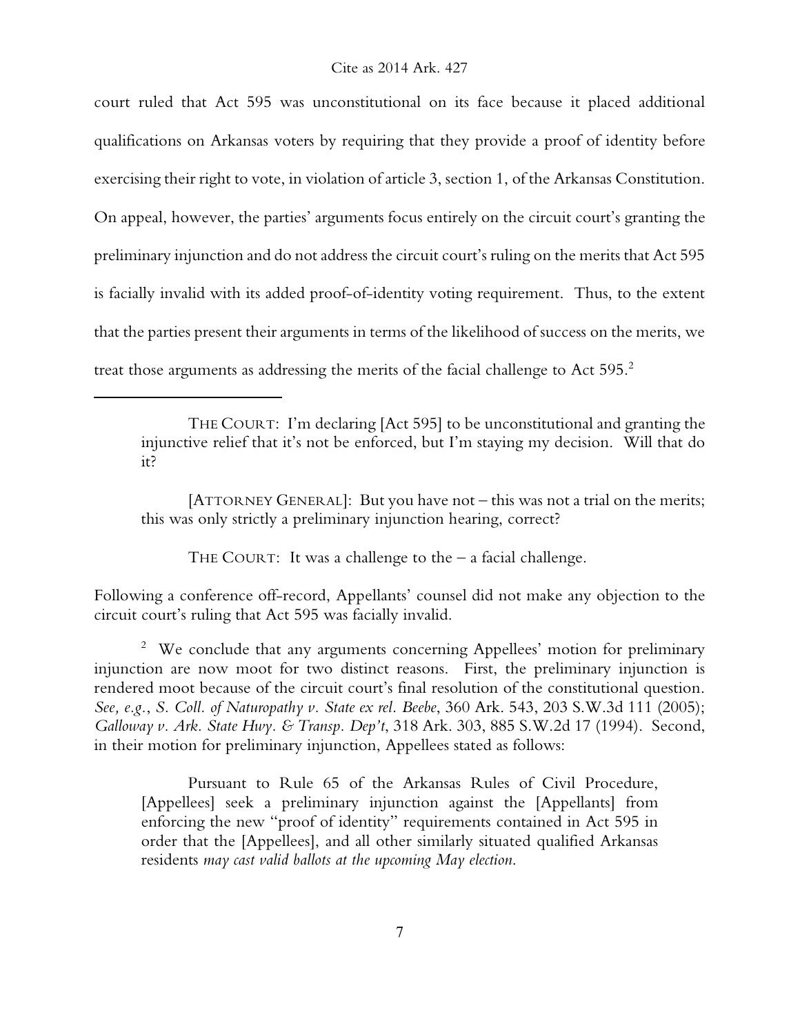court ruled that Act 595 was unconstitutional on its face because it placed additional qualifications on Arkansas voters by requiring that they provide a proof of identity before exercising their right to vote, in violation of article 3, section 1, of the Arkansas Constitution. On appeal, however, the parties' arguments focus entirely on the circuit court's granting the preliminary injunction and do not address the circuit court's ruling on the merits that Act 595 is facially invalid with its added proof-of-identity voting requirement. Thus, to the extent that the parties present their arguments in terms of the likelihood of success on the merits, we treat those arguments as addressing the merits of the facial challenge to Act 595.<sup>2</sup>

[ATTORNEY GENERAL]: But you have not – this was not a trial on the merits; this was only strictly a preliminary injunction hearing, correct?

THE COURT: It was a challenge to the  $-$  a facial challenge.

Following a conference off-record, Appellants' counsel did not make any objection to the circuit court's ruling that Act 595 was facially invalid.

<sup>2</sup> We conclude that any arguments concerning Appellees' motion for preliminary injunction are now moot for two distinct reasons. First, the preliminary injunction is rendered moot because of the circuit court's final resolution of the constitutional question. *See, e.g.*, *S. Coll. of Naturopathy v. State ex rel. Beebe*, 360 Ark. 543, 203 S.W.3d 111 (2005); *Galloway v. Ark. State Hwy. & Transp. Dep't*, 318 Ark. 303, 885 S.W.2d 17 (1994). Second, in their motion for preliminary injunction, Appellees stated as follows:

Pursuant to Rule 65 of the Arkansas Rules of Civil Procedure, [Appellees] seek a preliminary injunction against the [Appellants] from enforcing the new "proof of identity" requirements contained in Act 595 in order that the [Appellees], and all other similarly situated qualified Arkansas residents *may cast valid ballots at the upcoming May election*.

THE COURT: I'm declaring [Act 595] to be unconstitutional and granting the injunctive relief that it's not be enforced, but I'm staying my decision. Will that do it?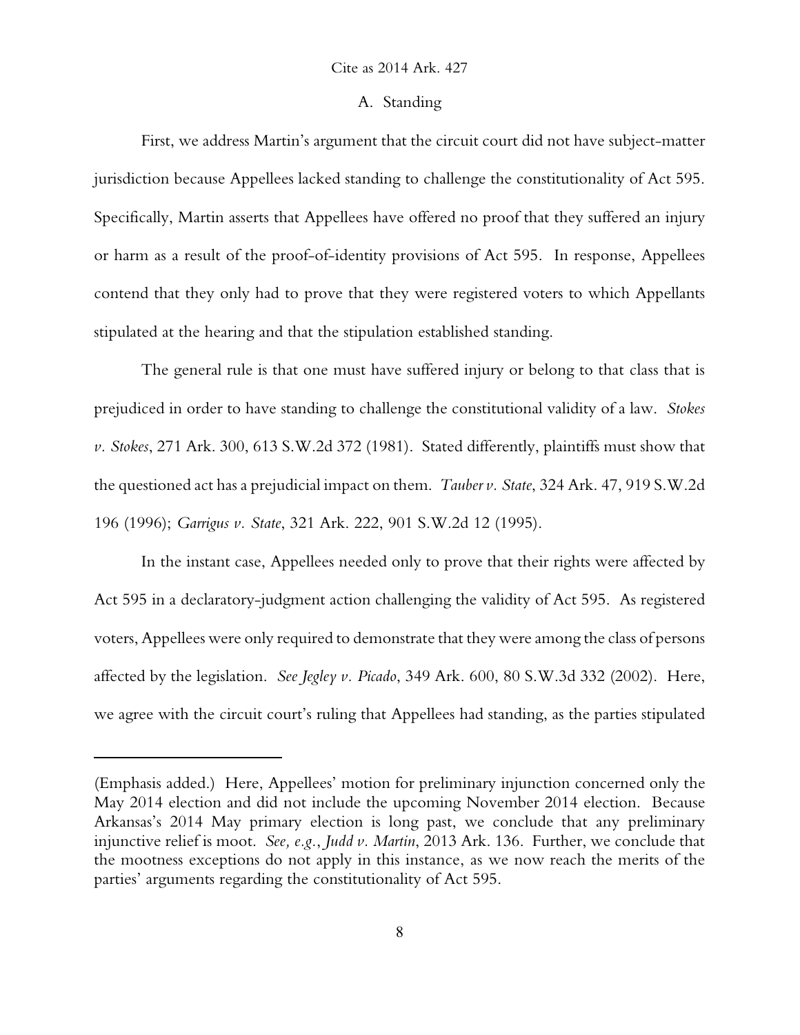#### A. Standing

First, we address Martin's argument that the circuit court did not have subject-matter jurisdiction because Appellees lacked standing to challenge the constitutionality of Act 595. Specifically, Martin asserts that Appellees have offered no proof that they suffered an injury or harm as a result of the proof-of-identity provisions of Act 595. In response, Appellees contend that they only had to prove that they were registered voters to which Appellants stipulated at the hearing and that the stipulation established standing.

The general rule is that one must have suffered injury or belong to that class that is prejudiced in order to have standing to challenge the constitutional validity of a law. *Stokes v. Stokes*, 271 Ark. 300, 613 S.W.2d 372 (1981). Stated differently, plaintiffs must show that the questioned act has a prejudicial impact on them. *Tauber v. State*, 324 Ark. 47, 919 S.W.2d 196 (1996); *Garrigus v. State*, 321 Ark. 222, 901 S.W.2d 12 (1995).

In the instant case, Appellees needed only to prove that their rights were affected by Act 595 in a declaratory-judgment action challenging the validity of Act 595. As registered voters, Appellees were only required to demonstrate that they were among the class of persons affected by the legislation. *See Jegley v. Picado*, 349 Ark. 600, 80 S.W.3d 332 (2002). Here, we agree with the circuit court's ruling that Appellees had standing, as the parties stipulated

<sup>(</sup>Emphasis added.) Here, Appellees' motion for preliminary injunction concerned only the May 2014 election and did not include the upcoming November 2014 election. Because Arkansas's 2014 May primary election is long past, we conclude that any preliminary injunctive relief is moot. *See, e.g.*, *Judd v. Martin*, 2013 Ark. 136. Further, we conclude that the mootness exceptions do not apply in this instance, as we now reach the merits of the parties' arguments regarding the constitutionality of Act 595.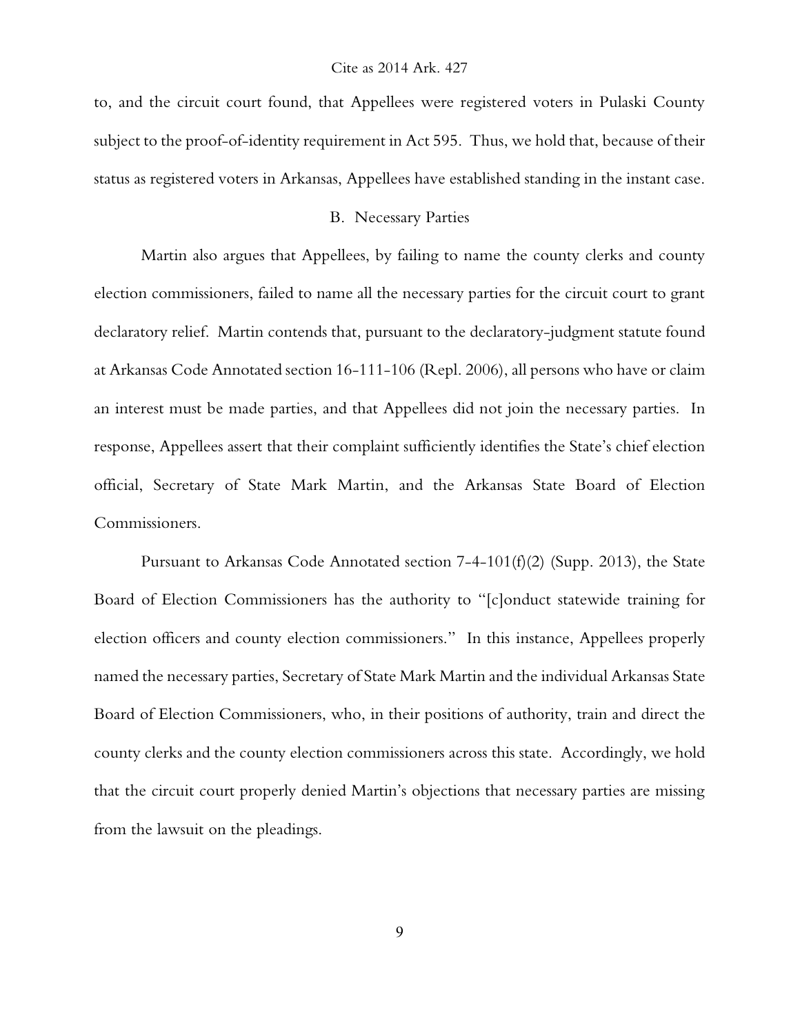to, and the circuit court found, that Appellees were registered voters in Pulaski County subject to the proof-of-identity requirement in Act 595. Thus, we hold that, because of their status as registered voters in Arkansas, Appellees have established standing in the instant case.

# B. Necessary Parties

Martin also argues that Appellees, by failing to name the county clerks and county election commissioners, failed to name all the necessary parties for the circuit court to grant declaratory relief. Martin contends that, pursuant to the declaratory-judgment statute found at Arkansas Code Annotated section 16-111-106 (Repl. 2006), all persons who have or claim an interest must be made parties, and that Appellees did not join the necessary parties. In response, Appellees assert that their complaint sufficiently identifies the State's chief election official, Secretary of State Mark Martin, and the Arkansas State Board of Election Commissioners.

Pursuant to Arkansas Code Annotated section 7-4-101(f)(2) (Supp. 2013), the State Board of Election Commissioners has the authority to "[c]onduct statewide training for election officers and county election commissioners." In this instance, Appellees properly named the necessary parties, Secretary of State Mark Martin and the individual Arkansas State Board of Election Commissioners, who, in their positions of authority, train and direct the county clerks and the county election commissioners across this state. Accordingly, we hold that the circuit court properly denied Martin's objections that necessary parties are missing from the lawsuit on the pleadings.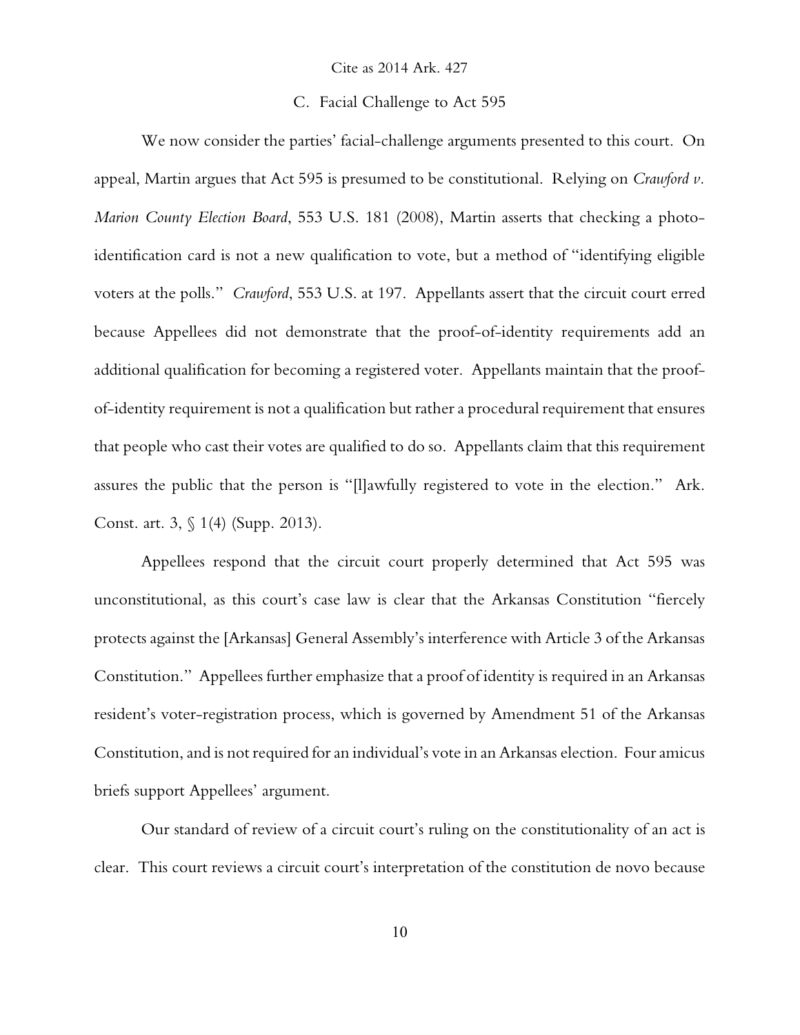## C. Facial Challenge to Act 595

We now consider the parties' facial-challenge arguments presented to this court. On appeal, Martin argues that Act 595 is presumed to be constitutional. Relying on *Crawford v. Marion County Election Board*, 553 U.S. 181 (2008), Martin asserts that checking a photoidentification card is not a new qualification to vote, but a method of "identifying eligible voters at the polls." *Crawford*, 553 U.S. at 197. Appellants assert that the circuit court erred because Appellees did not demonstrate that the proof-of-identity requirements add an additional qualification for becoming a registered voter. Appellants maintain that the proofof-identity requirement is not a qualification but rather a procedural requirement that ensures that people who cast their votes are qualified to do so. Appellants claim that this requirement assures the public that the person is "[l]awfully registered to vote in the election." Ark. Const. art. 3, § 1(4) (Supp. 2013).

Appellees respond that the circuit court properly determined that Act 595 was unconstitutional, as this court's case law is clear that the Arkansas Constitution "fiercely protects against the [Arkansas] General Assembly's interference with Article 3 of the Arkansas Constitution." Appellees further emphasize that a proof of identity is required in an Arkansas resident's voter-registration process, which is governed by Amendment 51 of the Arkansas Constitution, and is not required for an individual's vote in an Arkansas election. Four amicus briefs support Appellees' argument.

Our standard of review of a circuit court's ruling on the constitutionality of an act is clear. This court reviews a circuit court's interpretation of the constitution de novo because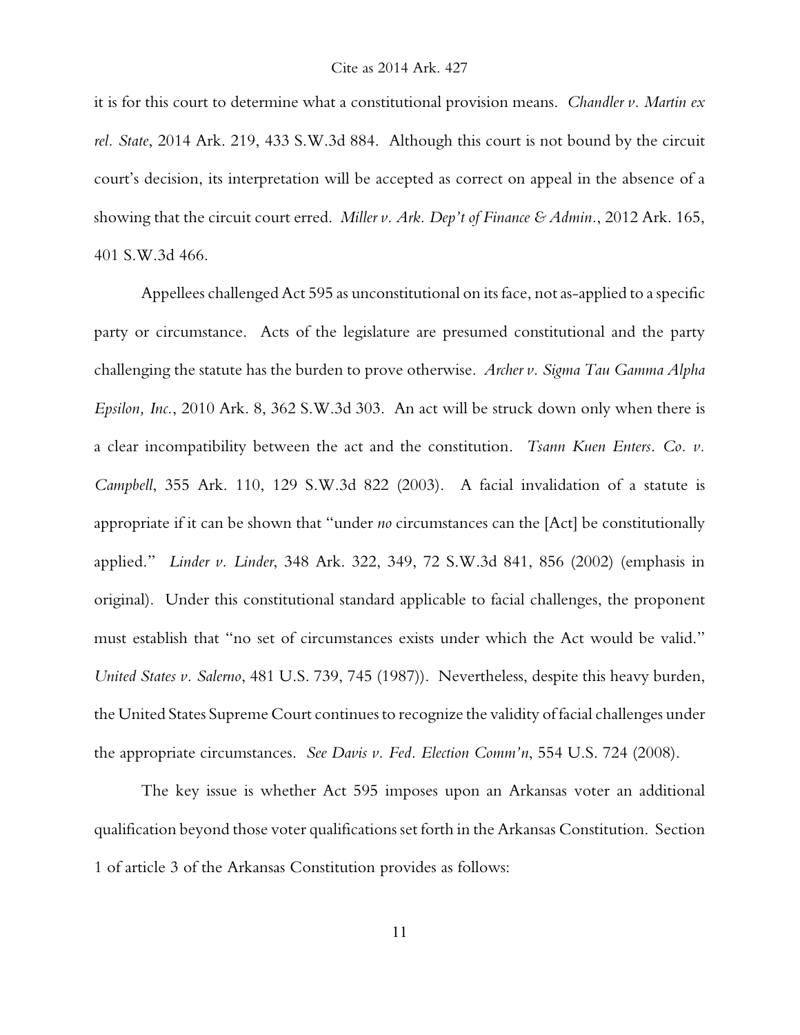it is for this court to determine what a constitutional provision means. *Chandler v. Martin ex rel. State*, 2014 Ark. 219, 433 S.W.3d 884. Although this court is not bound by the circuit court's decision, its interpretation will be accepted as correct on appeal in the absence of a showing that the circuit court erred. *Miller v. Ark. Dep't of Finance & Admin.*, 2012 Ark. 165, 401 S.W.3d 466.

Appellees challenged Act 595 as unconstitutional on its face, not as-applied to a specific party or circumstance. Acts of the legislature are presumed constitutional and the party challenging the statute has the burden to prove otherwise. *Archer v. Sigma Tau Gamma Alpha Epsilon, Inc.*, 2010 Ark. 8, 362 S.W.3d 303. An act will be struck down only when there is a clear incompatibility between the act and the constitution. *Tsann Kuen Enters. Co. v. Campbell*, 355 Ark. 110, 129 S.W.3d 822 (2003). A facial invalidation of a statute is appropriate if it can be shown that "under *no* circumstances can the [Act] be constitutionally applied." *Linder v. Linder*, 348 Ark. 322, 349, 72 S.W.3d 841, 856 (2002) (emphasis in original). Under this constitutional standard applicable to facial challenges, the proponent must establish that "no set of circumstances exists under which the Act would be valid." *United States v. Salerno*, 481 U.S. 739, 745 (1987)). Nevertheless, despite this heavy burden, the United States Supreme Court continues to recognize the validity of facial challenges under the appropriate circumstances. *See Davis v. Fed. Election Comm'n*, 554 U.S. 724 (2008).

The key issue is whether Act 595 imposes upon an Arkansas voter an additional qualification beyond those voter qualifications set forth in the Arkansas Constitution. Section 1 of article 3 of the Arkansas Constitution provides as follows: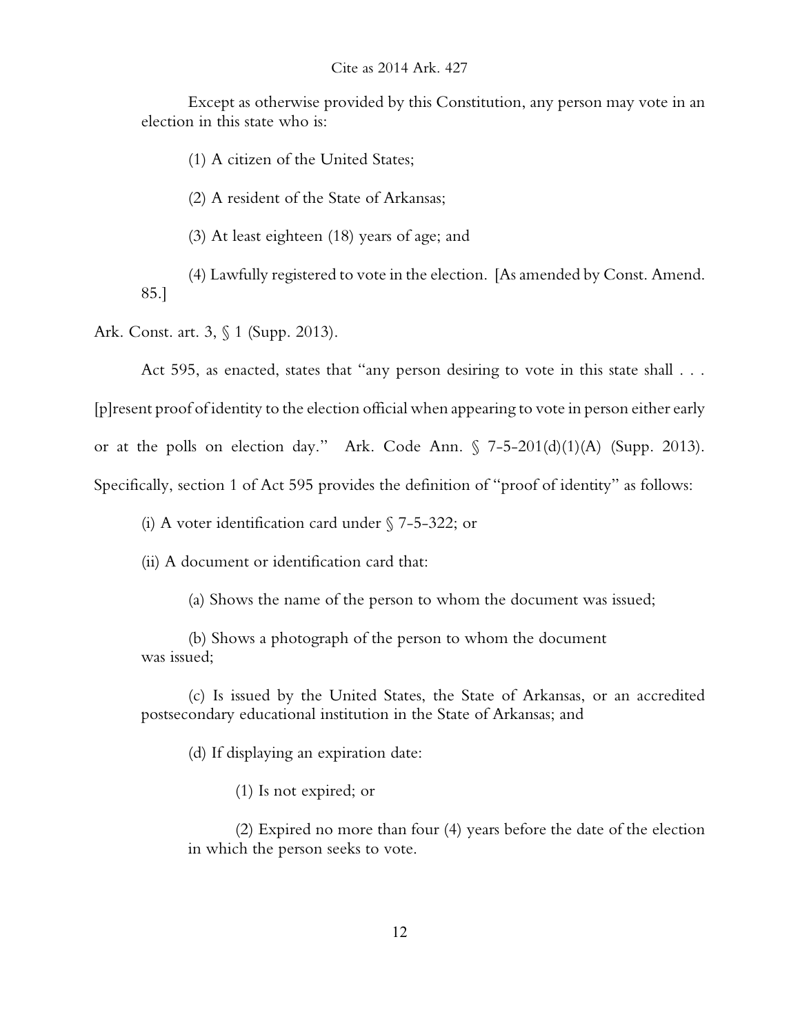Except as otherwise provided by this Constitution, any person may vote in an election in this state who is:

(1) A citizen of the United States;

(2) A resident of the State of Arkansas;

(3) At least eighteen (18) years of age; and

(4) Lawfully registered to vote in the election. [As amended by Const. Amend. 85.]

Ark. Const. art. 3, § 1 (Supp. 2013).

Act 595, as enacted, states that "any person desiring to vote in this state shall . . .

[p]resent proof of identity to the election official when appearing to vote in person either early

or at the polls on election day." Ark. Code Ann. § 7-5-201(d)(1)(A) (Supp. 2013).

Specifically, section 1 of Act 595 provides the definition of "proof of identity" as follows:

(i) A voter identification card under  $\sqrt{7-5-322}$ ; or

(ii) A document or identification card that:

(a) Shows the name of the person to whom the document was issued;

(b) Shows a photograph of the person to whom the document was issued;

(c) Is issued by the United States, the State of Arkansas, or an accredited postsecondary educational institution in the State of Arkansas; and

(d) If displaying an expiration date:

(1) Is not expired; or

(2) Expired no more than four (4) years before the date of the election in which the person seeks to vote.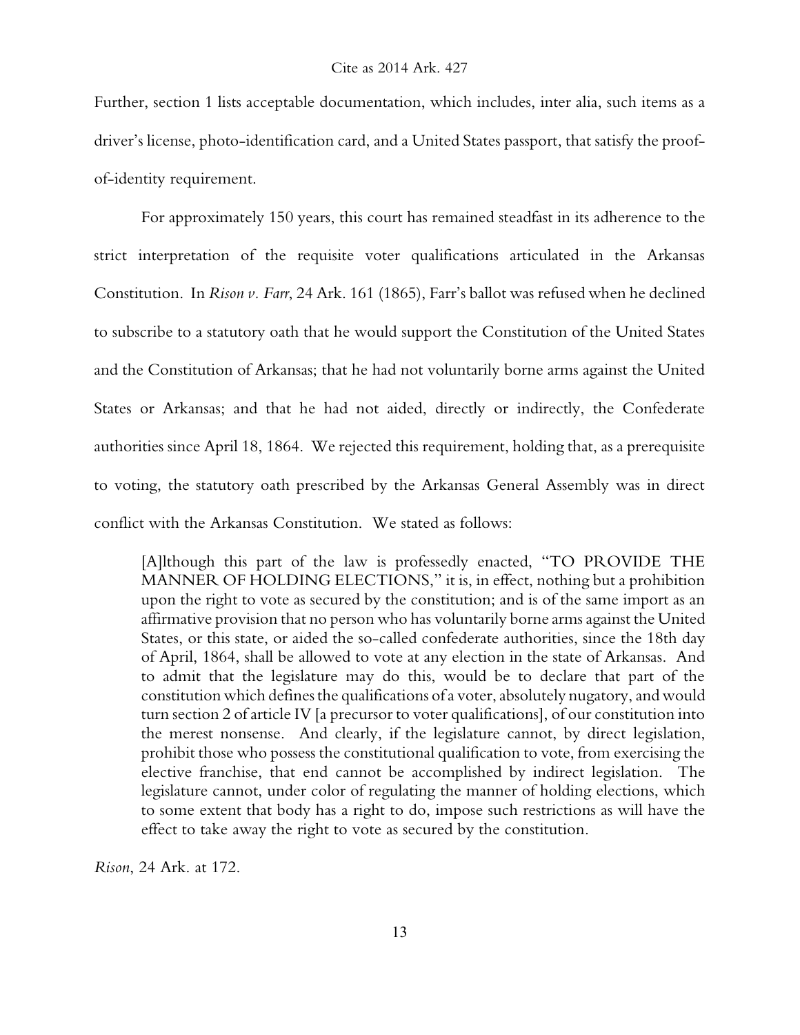Further, section 1 lists acceptable documentation, which includes, inter alia, such items as a driver's license, photo-identification card, and a United States passport, that satisfy the proofof-identity requirement.

For approximately 150 years, this court has remained steadfast in its adherence to the strict interpretation of the requisite voter qualifications articulated in the Arkansas Constitution. In *Rison v. Farr*, 24 Ark. 161 (1865), Farr's ballot was refused when he declined to subscribe to a statutory oath that he would support the Constitution of the United States and the Constitution of Arkansas; that he had not voluntarily borne arms against the United States or Arkansas; and that he had not aided, directly or indirectly, the Confederate authorities since April 18, 1864. We rejected this requirement, holding that, as a prerequisite to voting, the statutory oath prescribed by the Arkansas General Assembly was in direct conflict with the Arkansas Constitution. We stated as follows:

[A]lthough this part of the law is professedly enacted, "TO PROVIDE THE MANNER OF HOLDING ELECTIONS," it is, in effect, nothing but a prohibition upon the right to vote as secured by the constitution; and is of the same import as an affirmative provision that no person who has voluntarily borne arms against the United States, or this state, or aided the so-called confederate authorities, since the 18th day of April, 1864, shall be allowed to vote at any election in the state of Arkansas. And to admit that the legislature may do this, would be to declare that part of the constitution which defines the qualifications of a voter, absolutely nugatory, and would turn section 2 of article IV [a precursor to voter qualifications], of our constitution into the merest nonsense. And clearly, if the legislature cannot, by direct legislation, prohibit those who possess the constitutional qualification to vote, from exercising the elective franchise, that end cannot be accomplished by indirect legislation. The legislature cannot, under color of regulating the manner of holding elections, which to some extent that body has a right to do, impose such restrictions as will have the effect to take away the right to vote as secured by the constitution.

*Rison*, 24 Ark. at 172.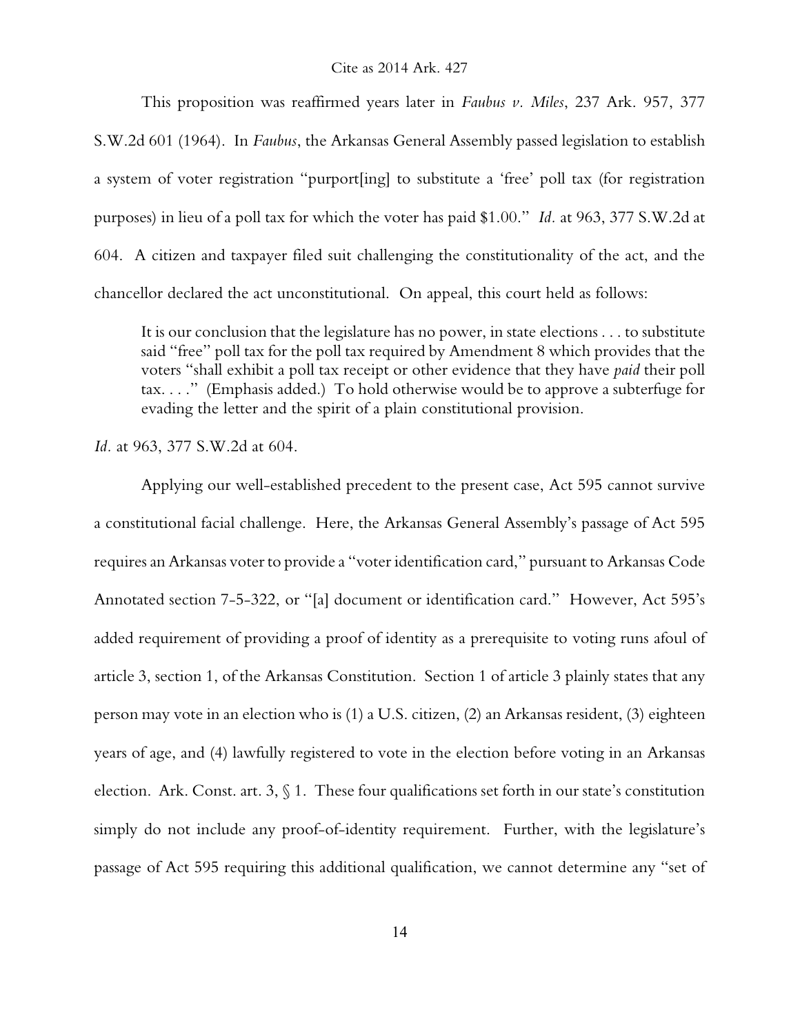This proposition was reaffirmed years later in *Faubus v. Miles*, 237 Ark. 957, 377 S.W.2d 601 (1964). In *Faubus*, the Arkansas General Assembly passed legislation to establish a system of voter registration "purport[ing] to substitute a 'free' poll tax (for registration purposes) in lieu of a poll tax for which the voter has paid \$1.00." *Id.* at 963, 377 S.W.2d at 604. A citizen and taxpayer filed suit challenging the constitutionality of the act, and the chancellor declared the act unconstitutional. On appeal, this court held as follows:

It is our conclusion that the legislature has no power, in state elections . . . to substitute said "free" poll tax for the poll tax required by Amendment 8 which provides that the voters "shall exhibit a poll tax receipt or other evidence that they have *paid* their poll tax. . . ." (Emphasis added.) To hold otherwise would be to approve a subterfuge for evading the letter and the spirit of a plain constitutional provision.

*Id.* at 963, 377 S.W.2d at 604.

Applying our well-established precedent to the present case, Act 595 cannot survive a constitutional facial challenge. Here, the Arkansas General Assembly's passage of Act 595 requires an Arkansas voter to provide a "voter identification card," pursuant to Arkansas Code Annotated section 7-5-322, or "[a] document or identification card." However, Act 595's added requirement of providing a proof of identity as a prerequisite to voting runs afoul of article 3, section 1, of the Arkansas Constitution. Section 1 of article 3 plainly states that any person may vote in an election who is (1) a U.S. citizen, (2) an Arkansas resident, (3) eighteen years of age, and (4) lawfully registered to vote in the election before voting in an Arkansas election. Ark. Const. art.  $3, \S 1$ . These four qualifications set forth in our state's constitution simply do not include any proof-of-identity requirement. Further, with the legislature's passage of Act 595 requiring this additional qualification, we cannot determine any "set of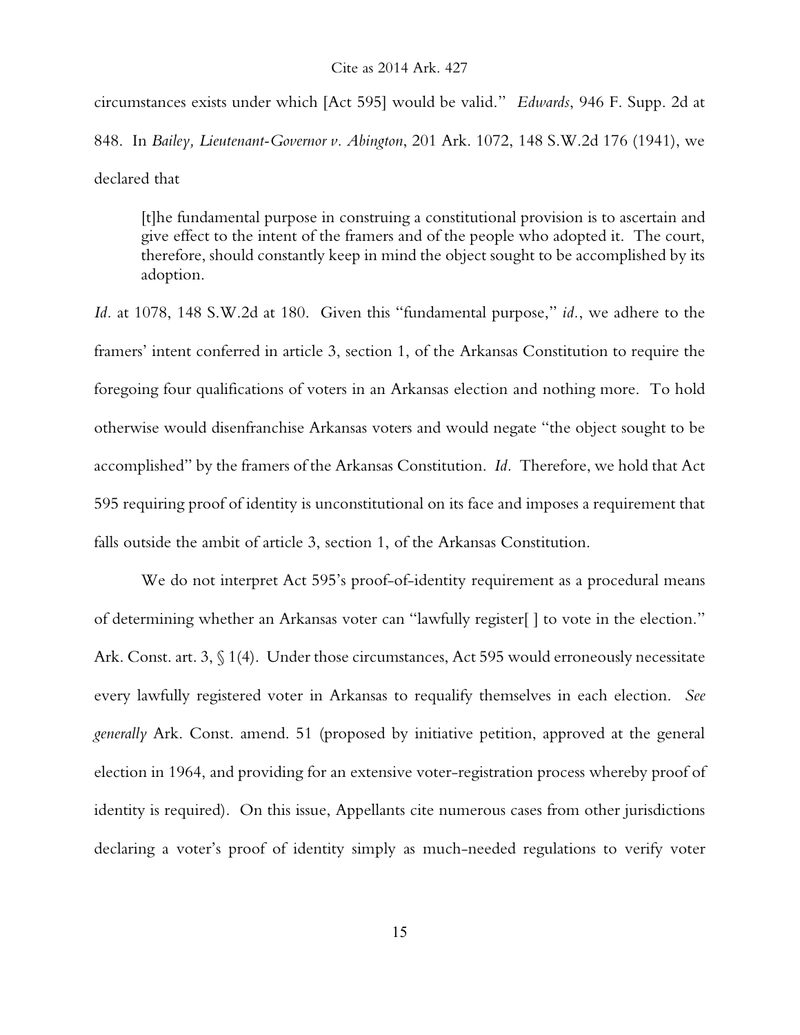circumstances exists under which [Act 595] would be valid." *Edwards*, 946 F. Supp. 2d at 848. In *Bailey, Lieutenant-Governor v. Abington*, 201 Ark. 1072, 148 S.W.2d 176 (1941), we declared that

[t]he fundamental purpose in construing a constitutional provision is to ascertain and give effect to the intent of the framers and of the people who adopted it. The court, therefore, should constantly keep in mind the object sought to be accomplished by its adoption.

*Id.* at 1078, 148 S.W.2d at 180. Given this "fundamental purpose," *id.*, we adhere to the framers' intent conferred in article 3, section 1, of the Arkansas Constitution to require the foregoing four qualifications of voters in an Arkansas election and nothing more. To hold otherwise would disenfranchise Arkansas voters and would negate "the object sought to be accomplished" by the framers of the Arkansas Constitution. *Id.* Therefore, we hold that Act 595 requiring proof of identity is unconstitutional on its face and imposes a requirement that falls outside the ambit of article 3, section 1, of the Arkansas Constitution.

We do not interpret Act 595's proof-of-identity requirement as a procedural means of determining whether an Arkansas voter can "lawfully register[ ] to vote in the election." Ark. Const. art. 3, § 1(4). Under those circumstances, Act 595 would erroneously necessitate every lawfully registered voter in Arkansas to requalify themselves in each election. *See generally* Ark. Const. amend. 51 (proposed by initiative petition, approved at the general election in 1964, and providing for an extensive voter-registration process whereby proof of identity is required). On this issue, Appellants cite numerous cases from other jurisdictions declaring a voter's proof of identity simply as much-needed regulations to verify voter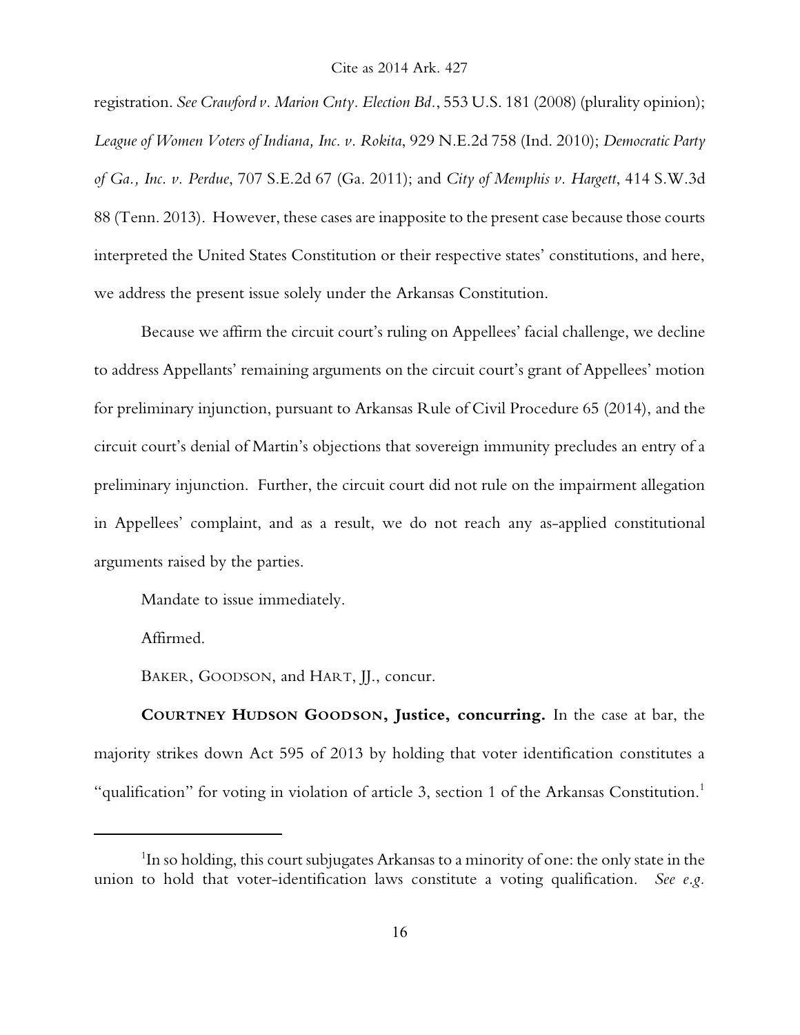registration. *See Crawford v. Marion Cnty. Election Bd.*, 553 U.S. 181 (2008) (plurality opinion); *League of Women Voters of Indiana, Inc. v. Rokita*, 929 N.E.2d 758 (Ind. 2010); *Democratic Party of Ga., Inc. v. Perdue*, 707 S.E.2d 67 (Ga. 2011); and *City of Memphis v. Hargett*, 414 S.W.3d 88 (Tenn. 2013). However, these cases are inapposite to the present case because those courts interpreted the United States Constitution or their respective states' constitutions, and here, we address the present issue solely under the Arkansas Constitution.

Because we affirm the circuit court's ruling on Appellees' facial challenge, we decline to address Appellants' remaining arguments on the circuit court's grant of Appellees' motion for preliminary injunction, pursuant to Arkansas Rule of Civil Procedure 65 (2014), and the circuit court's denial of Martin's objections that sovereign immunity precludes an entry of a preliminary injunction. Further, the circuit court did not rule on the impairment allegation in Appellees' complaint, and as a result, we do not reach any as-applied constitutional arguments raised by the parties.

Mandate to issue immediately.

Affirmed.

BAKER, GOODSON, and HART, J., concur.

**COURTNEY HUDSON GOODSON, Justice, concurring.** In the case at bar, the majority strikes down Act 595 of 2013 by holding that voter identification constitutes a "qualification" for voting in violation of article 3, section 1 of the Arkansas Constitution. 1

<sup>&</sup>lt;sup>1</sup>In so holding, this court subjugates Arkansas to a minority of one: the only state in the union to hold that voter-identification laws constitute a voting qualification. *See e.g.*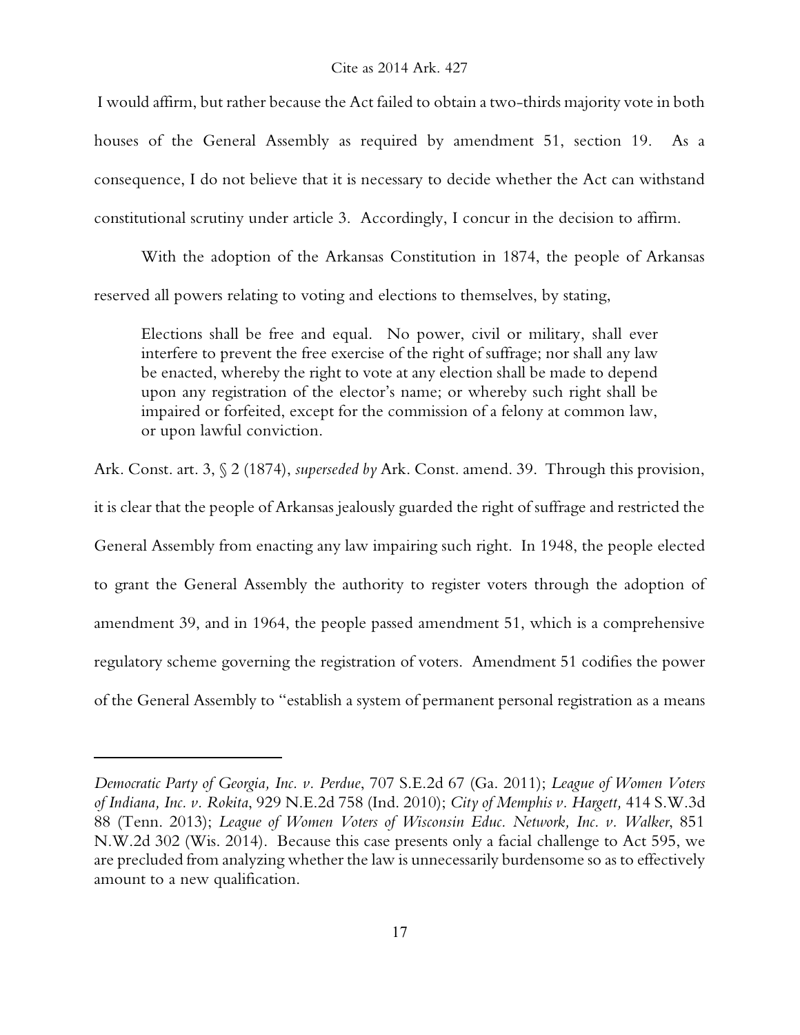I would affirm, but rather because the Act failed to obtain a two-thirds majority vote in both houses of the General Assembly as required by amendment 51, section 19. As a consequence, I do not believe that it is necessary to decide whether the Act can withstand constitutional scrutiny under article 3. Accordingly, I concur in the decision to affirm.

With the adoption of the Arkansas Constitution in 1874, the people of Arkansas reserved all powers relating to voting and elections to themselves, by stating,

Elections shall be free and equal. No power, civil or military, shall ever interfere to prevent the free exercise of the right of suffrage; nor shall any law be enacted, whereby the right to vote at any election shall be made to depend upon any registration of the elector's name; or whereby such right shall be impaired or forfeited, except for the commission of a felony at common law, or upon lawful conviction.

Ark. Const. art. 3, § 2 (1874), *superseded by* Ark. Const. amend. 39. Through this provision, it is clear that the people of Arkansas jealously guarded the right of suffrage and restricted the General Assembly from enacting any law impairing such right. In 1948, the people elected to grant the General Assembly the authority to register voters through the adoption of amendment 39, and in 1964, the people passed amendment 51, which is a comprehensive regulatory scheme governing the registration of voters. Amendment 51 codifies the power of the General Assembly to "establish a system of permanent personal registration as a means

*Democratic Party of Georgia, Inc. v. Perdue*, 707 S.E.2d 67 (Ga. 2011); *League of Women Voters of Indiana, Inc. v. Rokita*, 929 N.E.2d 758 (Ind. 2010); *City of Memphis v. Hargett,* 414 S.W.3d 88 (Tenn. 2013); *League of Women Voters of Wisconsin Educ. Network, Inc. v. Walker*, 851 N.W.2d 302 (Wis. 2014). Because this case presents only a facial challenge to Act 595, we are precluded from analyzing whether the law is unnecessarily burdensome so as to effectively amount to a new qualification.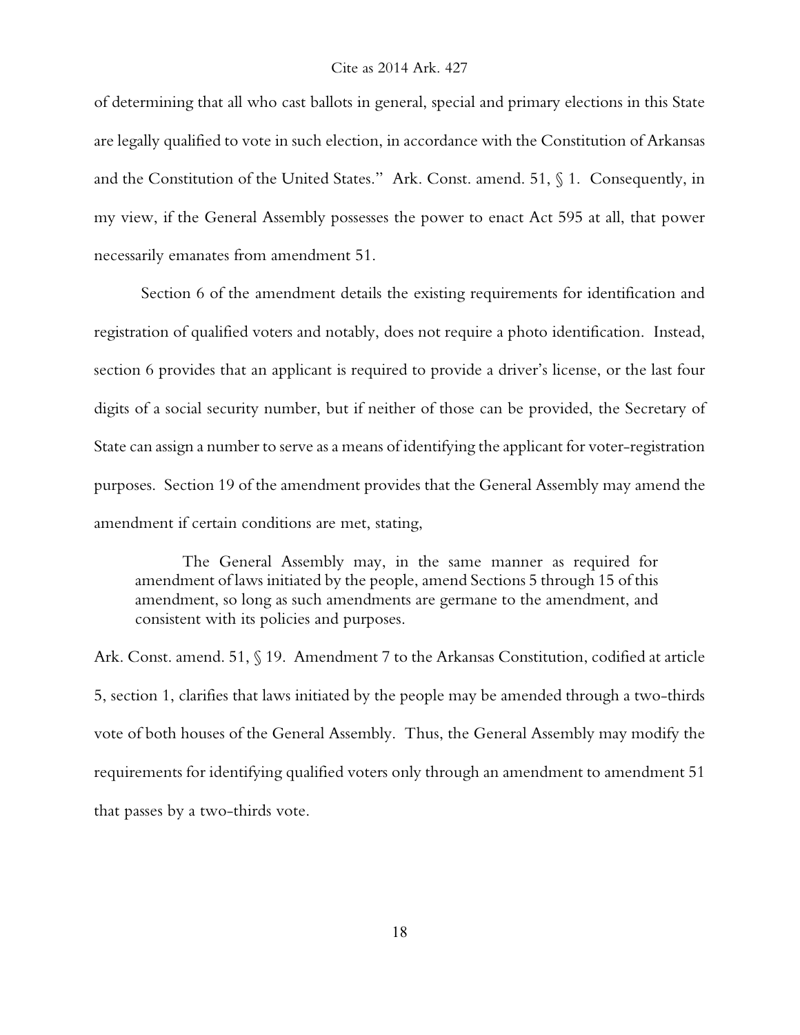of determining that all who cast ballots in general, special and primary elections in this State are legally qualified to vote in such election, in accordance with the Constitution of Arkansas and the Constitution of the United States." Ark. Const. amend. 51, § 1. Consequently, in my view, if the General Assembly possesses the power to enact Act 595 at all, that power necessarily emanates from amendment 51.

Section 6 of the amendment details the existing requirements for identification and registration of qualified voters and notably, does not require a photo identification. Instead, section 6 provides that an applicant is required to provide a driver's license, or the last four digits of a social security number, but if neither of those can be provided, the Secretary of State can assign a number to serve as a means of identifying the applicant for voter-registration purposes. Section 19 of the amendment provides that the General Assembly may amend the amendment if certain conditions are met, stating,

The General Assembly may, in the same manner as required for amendment of laws initiated by the people, amend Sections 5 through 15 of this amendment, so long as such amendments are germane to the amendment, and consistent with its policies and purposes.

Ark. Const. amend. 51, § 19. Amendment 7 to the Arkansas Constitution, codified at article 5, section 1, clarifies that laws initiated by the people may be amended through a two-thirds vote of both houses of the General Assembly. Thus, the General Assembly may modify the requirements for identifying qualified voters only through an amendment to amendment 51 that passes by a two-thirds vote.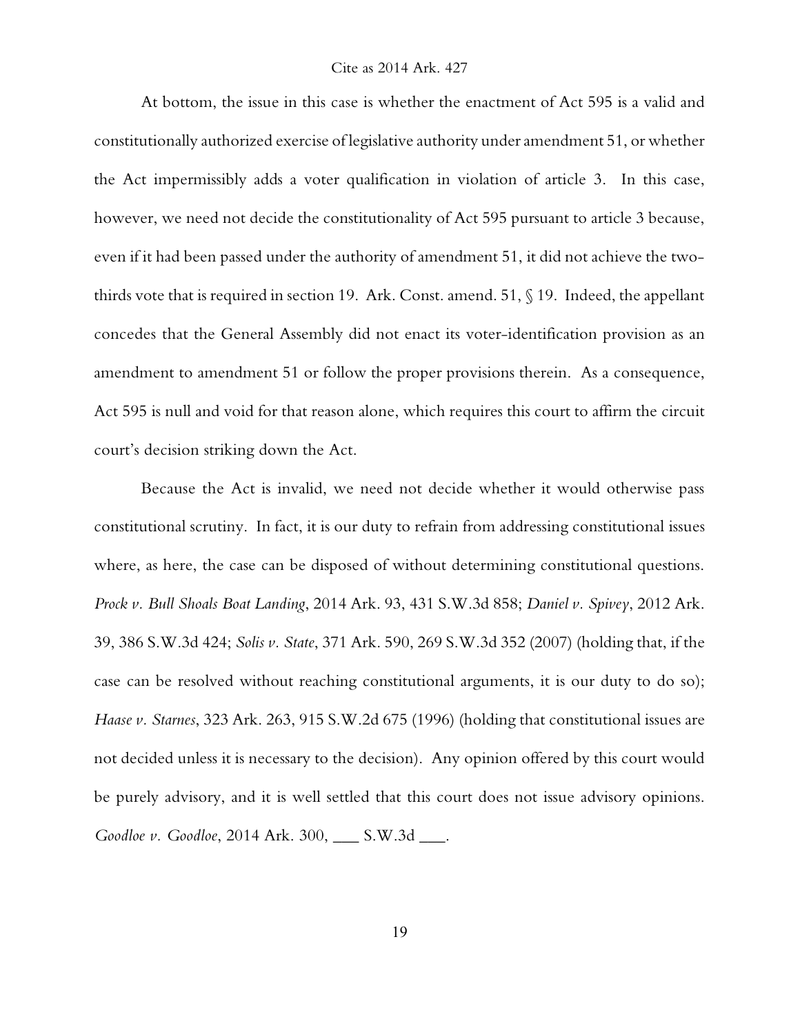At bottom, the issue in this case is whether the enactment of Act 595 is a valid and constitutionally authorized exercise of legislative authority under amendment 51, or whether the Act impermissibly adds a voter qualification in violation of article 3. In this case, however, we need not decide the constitutionality of Act 595 pursuant to article 3 because, even if it had been passed under the authority of amendment 51, it did not achieve the twothirds vote that is required in section 19. Ark. Const. amend. 51, § 19. Indeed, the appellant concedes that the General Assembly did not enact its voter-identification provision as an amendment to amendment 51 or follow the proper provisions therein. As a consequence, Act 595 is null and void for that reason alone, which requires this court to affirm the circuit court's decision striking down the Act.

Because the Act is invalid, we need not decide whether it would otherwise pass constitutional scrutiny. In fact, it is our duty to refrain from addressing constitutional issues where, as here, the case can be disposed of without determining constitutional questions. *Prock v. Bull Shoals Boat Landing*, 2014 Ark. 93, 431 S.W.3d 858; *Daniel v. Spivey*, 2012 Ark. 39, 386 S.W.3d 424; *Solis v. State*, 371 Ark. 590, 269 S.W.3d 352 (2007) (holding that, if the case can be resolved without reaching constitutional arguments, it is our duty to do so); *Haase v. Starnes*, 323 Ark. 263, 915 S.W.2d 675 (1996) (holding that constitutional issues are not decided unless it is necessary to the decision). Any opinion offered by this court would be purely advisory, and it is well settled that this court does not issue advisory opinions. *Goodloe v. Goodloe*, 2014 Ark. 300, \_\_\_ S.W.3d \_\_\_.